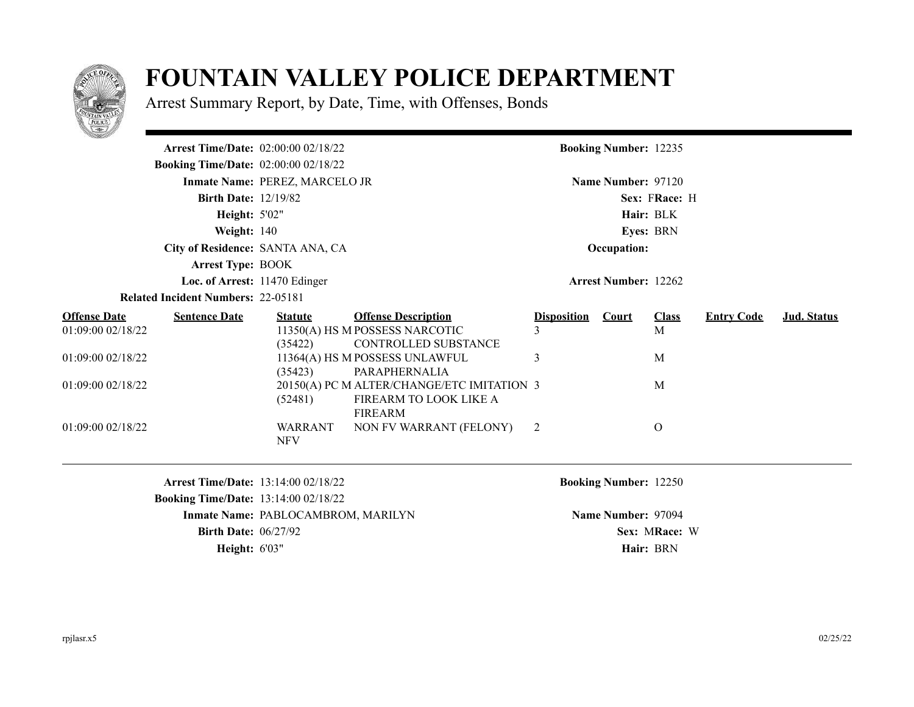

## **FOUNTAIN VALLEY POLICE DEPARTMENT**

Arrest Summary Report, by Date, Time, with Offenses, Bonds

| <b>STATISTICS</b>    |                                             |                                |                                            |                    |                              |                  |                   |             |
|----------------------|---------------------------------------------|--------------------------------|--------------------------------------------|--------------------|------------------------------|------------------|-------------------|-------------|
|                      | <b>Arrest Time/Date:</b> 02:00:00 02/18/22  |                                |                                            |                    | <b>Booking Number: 12235</b> |                  |                   |             |
|                      | <b>Booking Time/Date:</b> 02:00:00 02/18/22 |                                |                                            |                    |                              |                  |                   |             |
|                      |                                             | Inmate Name: PEREZ, MARCELO JR |                                            |                    | Name Number: 97120           |                  |                   |             |
|                      | <b>Birth Date: 12/19/82</b>                 |                                |                                            |                    |                              | Sex: FRace: H    |                   |             |
|                      | <b>Height: 5'02"</b>                        |                                |                                            |                    |                              | Hair: BLK        |                   |             |
|                      | Weight: $140$                               |                                |                                            |                    |                              | <b>Eyes: BRN</b> |                   |             |
|                      | City of Residence: SANTA ANA, CA            |                                |                                            |                    | Occupation:                  |                  |                   |             |
|                      | <b>Arrest Type: BOOK</b>                    |                                |                                            |                    |                              |                  |                   |             |
|                      | Loc. of Arrest: 11470 Edinger               |                                |                                            |                    | <b>Arrest Number: 12262</b>  |                  |                   |             |
|                      | <b>Related Incident Numbers: 22-05181</b>   |                                |                                            |                    |                              |                  |                   |             |
| <u> Offense Date</u> | <b>Sentence Date</b>                        | <b>Statute</b>                 | <b>Offense Description</b>                 | <b>Disposition</b> | <b>Court</b>                 | <b>Class</b>     | <b>Entry Code</b> | Jud. Status |
| 01:09:00 02/18/22    |                                             |                                | 11350(A) HS M POSSESS NARCOTIC             | 3                  |                              | M                |                   |             |
|                      |                                             | (35422)                        | CONTROLLED SUBSTANCE                       |                    |                              |                  |                   |             |
| 01:09:00 02/18/22    |                                             |                                | 11364(A) HS M POSSESS UNLAWFUL             | 3                  |                              | M                |                   |             |
|                      |                                             | (35423)                        | PARAPHERNALIA                              |                    |                              |                  |                   |             |
| 01:09:00 02/18/22    |                                             |                                | 20150(A) PC M ALTER/CHANGE/ETC IMITATION 3 |                    |                              | M                |                   |             |
|                      |                                             | (52481)                        | FIREARM TO LOOK LIKE A                     |                    |                              |                  |                   |             |
|                      |                                             |                                | FIREARM                                    |                    |                              |                  |                   |             |
| 01:09:00 02/18/22    |                                             | <b>WARRANT</b>                 | NON FV WARRANT (FELONY)                    | 2                  |                              | $\Omega$         |                   |             |
|                      |                                             | <b>NFV</b>                     |                                            |                    |                              |                  |                   |             |
|                      |                                             |                                |                                            |                    |                              |                  |                   |             |

**Arrest Time/Date:** 13:14:00 02/18/22 **Booking Number:** 12250 **Booking Time/Date:** 13:14:00 02/18/22 **Inmate Name: PABLOCAMBROM, MARILYN <b>Name Number: 97094 Name Number: 97094 Birth Date:**  $06/27/92$  **Sex:** MRace: W **Height:**  $6'03''$  **Hair:** BRN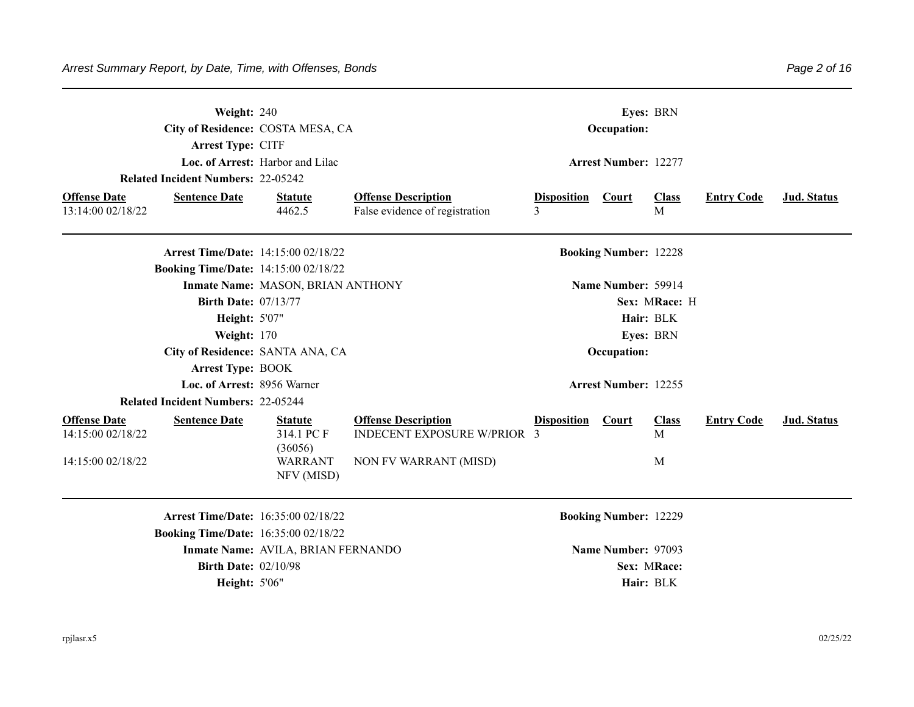|                                          | Weight: 240<br><b>Arrest Type: CITF</b>     | City of Residence: COSTA MESA, CA       |                                                              |                         | Eyes: BRN<br>Occupation:     |                   |                   |             |
|------------------------------------------|---------------------------------------------|-----------------------------------------|--------------------------------------------------------------|-------------------------|------------------------------|-------------------|-------------------|-------------|
|                                          | <b>Related Incident Numbers: 22-05242</b>   | Loc. of Arrest: Harbor and Lilac        |                                                              |                         | <b>Arrest Number: 12277</b>  |                   |                   |             |
| <b>Offense Date</b><br>13:14:00 02/18/22 | <b>Sentence Date</b>                        | <b>Statute</b><br>4462.5                | <b>Offense Description</b><br>False evidence of registration | <b>Disposition</b><br>3 | <b>Court</b>                 | <b>Class</b><br>M | <b>Entry Code</b> | Jud. Status |
|                                          | <b>Arrest Time/Date: 14:15:00 02/18/22</b>  |                                         |                                                              |                         | <b>Booking Number: 12228</b> |                   |                   |             |
|                                          | <b>Booking Time/Date: 14:15:00 02/18/22</b> | Inmate Name: MASON, BRIAN ANTHONY       |                                                              |                         | Name Number: 59914           |                   |                   |             |
|                                          | <b>Birth Date: 07/13/77</b>                 |                                         |                                                              |                         |                              | Sex: MRace: H     |                   |             |
|                                          | <b>Height: 5'07"</b>                        |                                         |                                                              |                         | Hair: BLK                    |                   |                   |             |
|                                          | Weight: 170                                 |                                         |                                                              |                         | Eyes: BRN                    |                   |                   |             |
|                                          | City of Residence: SANTA ANA, CA            |                                         |                                                              |                         | Occupation:                  |                   |                   |             |
|                                          | <b>Arrest Type: BOOK</b>                    |                                         |                                                              |                         |                              |                   |                   |             |
|                                          | Loc. of Arrest: 8956 Warner                 |                                         |                                                              |                         | <b>Arrest Number: 12255</b>  |                   |                   |             |
|                                          | <b>Related Incident Numbers: 22-05244</b>   |                                         |                                                              |                         |                              |                   |                   |             |
| <b>Offense Date</b><br>14:15:00 02/18/22 | <b>Sentence Date</b>                        | <b>Statute</b><br>314.1 PC F            | <b>Offense Description</b><br>INDECENT EXPOSURE W/PRIOR 3    | <b>Disposition</b>      | <b>Court</b>                 | <b>Class</b><br>M | <b>Entry Code</b> | Jud. Status |
| 14:15:00 02/18/22                        |                                             | (36056)<br><b>WARRANT</b><br>NFV (MISD) | NON FV WARRANT (MISD)                                        |                         |                              | M                 |                   |             |
|                                          | Arrest Time/Date: 16:35:00 02/18/22         |                                         |                                                              |                         | <b>Booking Number: 12229</b> |                   |                   |             |
|                                          | <b>Booking Time/Date: 16:35:00 02/18/22</b> |                                         |                                                              |                         |                              |                   |                   |             |
|                                          |                                             | Inmate Name: AVILA, BRIAN FERNANDO      |                                                              |                         | Name Number: 97093           |                   |                   |             |
|                                          | <b>Birth Date: 02/10/98</b>                 |                                         |                                                              |                         | Sex: MRace:                  |                   |                   |             |
|                                          | <b>Height: 5'06"</b>                        |                                         |                                                              |                         | Hair: BLK                    |                   |                   |             |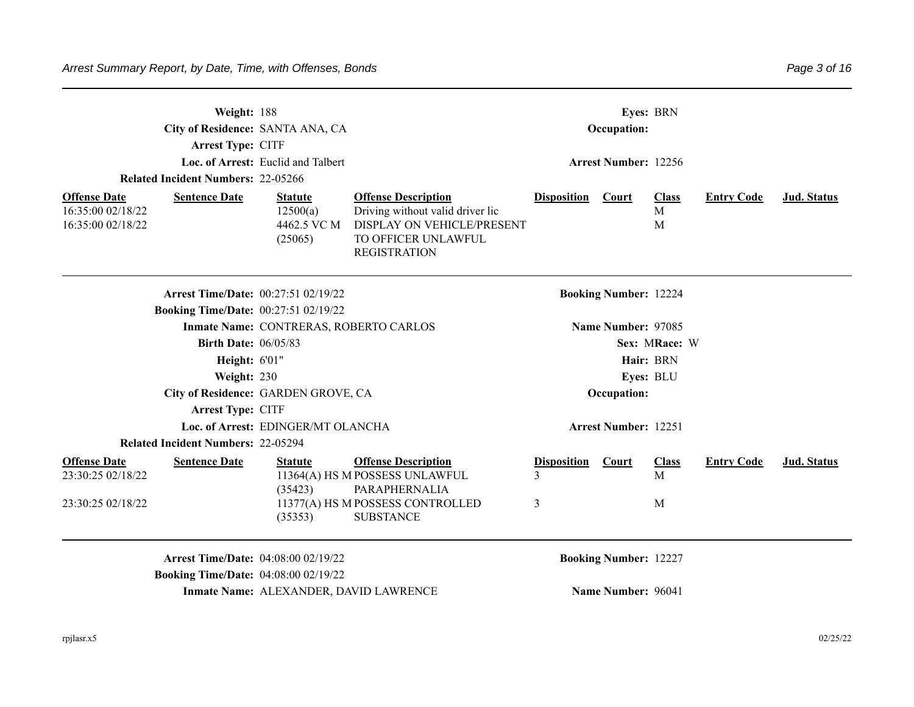|                                                               | Weight: 188<br>City of Residence: SANTA ANA, CA<br><b>Arrest Type: CITF</b><br><b>Related Incident Numbers: 22-05266</b> | Loc. of Arrest: Euclid and Talbert                   |                                                                                                                                            |                         | Occupation:<br><b>Arrest Number: 12256</b> | Eyes: BRN              |                   |                    |
|---------------------------------------------------------------|--------------------------------------------------------------------------------------------------------------------------|------------------------------------------------------|--------------------------------------------------------------------------------------------------------------------------------------------|-------------------------|--------------------------------------------|------------------------|-------------------|--------------------|
| <b>Offense Date</b><br>16:35:00 02/18/22<br>16:35:00 02/18/22 | <b>Sentence Date</b>                                                                                                     | <b>Statute</b><br>12500(a)<br>4462.5 VC M<br>(25065) | <b>Offense Description</b><br>Driving without valid driver lic<br>DISPLAY ON VEHICLE/PRESENT<br>TO OFFICER UNLAWFUL<br><b>REGISTRATION</b> | <b>Disposition</b>      | <b>Court</b>                               | <b>Class</b><br>M<br>M | <b>Entry Code</b> | <b>Jud. Status</b> |
|                                                               | <b>Arrest Time/Date: 00:27:51 02/19/22</b>                                                                               |                                                      |                                                                                                                                            |                         | <b>Booking Number: 12224</b>               |                        |                   |                    |
|                                                               | <b>Booking Time/Date: 00:27:51 02/19/22</b>                                                                              | Inmate Name: CONTRERAS, ROBERTO CARLOS               |                                                                                                                                            |                         | Name Number: 97085                         |                        |                   |                    |
|                                                               | <b>Birth Date: 06/05/83</b>                                                                                              |                                                      |                                                                                                                                            |                         |                                            | Sex: MRace: W          |                   |                    |
|                                                               | <b>Height: 6'01"</b>                                                                                                     |                                                      |                                                                                                                                            |                         |                                            | Hair: BRN              |                   |                    |
|                                                               | Weight: 230                                                                                                              |                                                      |                                                                                                                                            |                         |                                            | Eyes: BLU              |                   |                    |
|                                                               | City of Residence: GARDEN GROVE, CA                                                                                      |                                                      |                                                                                                                                            |                         | Occupation:                                |                        |                   |                    |
|                                                               | <b>Arrest Type: CITF</b>                                                                                                 |                                                      |                                                                                                                                            |                         |                                            |                        |                   |                    |
|                                                               |                                                                                                                          | Loc. of Arrest: EDINGER/MT OLANCHA                   |                                                                                                                                            |                         | <b>Arrest Number: 12251</b>                |                        |                   |                    |
|                                                               | <b>Related Incident Numbers: 22-05294</b>                                                                                |                                                      |                                                                                                                                            |                         |                                            |                        |                   |                    |
| <b>Offense Date</b><br>23:30:25 02/18/22                      | <b>Sentence Date</b>                                                                                                     | <b>Statute</b><br>(35423)                            | <b>Offense Description</b><br>11364(A) HS M POSSESS UNLAWFUL<br>PARAPHERNALIA                                                              | <b>Disposition</b><br>3 | <b>Court</b>                               | <b>Class</b><br>M      | <b>Entry Code</b> | Jud. Status        |
| 23:30:25 02/18/22                                             |                                                                                                                          | (35353)                                              | 11377(A) HS M POSSESS CONTROLLED<br><b>SUBSTANCE</b>                                                                                       | 3                       |                                            | M                      |                   |                    |

**Arrest Time/Date:** 04:08:00 02/19/22 **Booking Number:** 12227 **Booking Time/Date:** 04:08:00 02/19/22 **Inmate Name: ALEXANDER, DAVID LAWRENCE Name Number: 96041**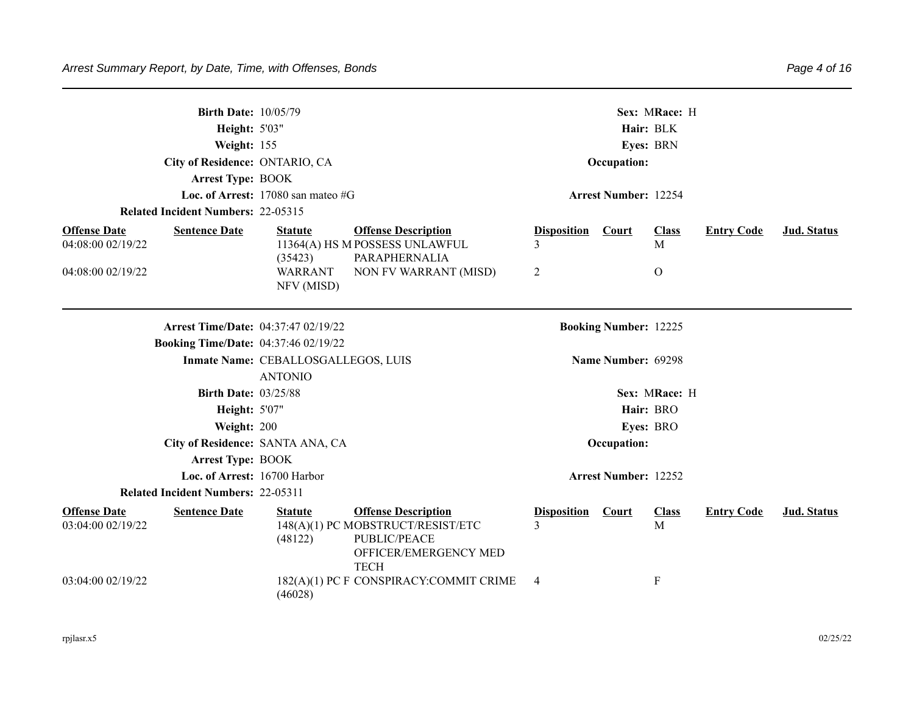| <b>Birth Date: 10/05/79</b><br><b>Height: 5'03"</b><br>Weight: 155<br>City of Residence: ONTARIO, CA<br><b>Arrest Type: BOOK</b><br><b>Related Incident Numbers: 22-05315</b> | Loc. of Arrest: $17080$ san mateo #G                  | Sex: MRace: H<br>Hair: BLK<br>Eyes: BRN<br>Occupation:<br><b>Arrest Number: 12254</b>                                   |                                    |                              |                           |                   |             |
|-------------------------------------------------------------------------------------------------------------------------------------------------------------------------------|-------------------------------------------------------|-------------------------------------------------------------------------------------------------------------------------|------------------------------------|------------------------------|---------------------------|-------------------|-------------|
| <b>Offense Date</b><br><b>Sentence Date</b><br>04:08:00 02/19/22                                                                                                              | <b>Statute</b><br>(35423)                             | <b>Offense Description</b><br>11364(A) HS M POSSESS UNLAWFUL<br>PARAPHERNALIA                                           | <b>Disposition</b><br>3            | Court                        | <b>Class</b><br>M         | <b>Entry Code</b> | Jud. Status |
| 04:08:00 02/19/22                                                                                                                                                             | <b>WARRANT</b><br>NFV (MISD)                          | NON FV WARRANT (MISD)                                                                                                   | 2                                  |                              | $\Omega$                  |                   |             |
|                                                                                                                                                                               | <b>Arrest Time/Date: 04:37:47 02/19/22</b>            |                                                                                                                         |                                    | <b>Booking Number: 12225</b> |                           |                   |             |
| <b>Booking Time/Date: 04:37:46 02/19/22</b>                                                                                                                                   |                                                       |                                                                                                                         |                                    |                              |                           |                   |             |
|                                                                                                                                                                               | Inmate Name: CEBALLOSGALLEGOS, LUIS<br><b>ANTONIO</b> |                                                                                                                         |                                    | Name Number: 69298           |                           |                   |             |
| <b>Birth Date: 03/25/88</b>                                                                                                                                                   |                                                       |                                                                                                                         |                                    |                              | Sex: MRace: H             |                   |             |
| <b>Height: 5'07"</b>                                                                                                                                                          |                                                       |                                                                                                                         |                                    |                              | Hair: BRO                 |                   |             |
| Weight: 200                                                                                                                                                                   |                                                       |                                                                                                                         |                                    |                              | Eyes: BRO                 |                   |             |
|                                                                                                                                                                               | City of Residence: SANTA ANA, CA                      |                                                                                                                         |                                    | Occupation:                  |                           |                   |             |
| <b>Arrest Type: BOOK</b>                                                                                                                                                      |                                                       |                                                                                                                         |                                    |                              |                           |                   |             |
|                                                                                                                                                                               | Loc. of Arrest: 16700 Harbor                          |                                                                                                                         |                                    | <b>Arrest Number: 12252</b>  |                           |                   |             |
| <b>Related Incident Numbers: 22-05311</b>                                                                                                                                     |                                                       |                                                                                                                         |                                    |                              |                           |                   |             |
| <b>Offense Date</b><br><b>Sentence Date</b><br>03:04:00 02/19/22                                                                                                              | <b>Statute</b><br>(48122)                             | <b>Offense Description</b><br>148(A)(1) PC MOBSTRUCT/RESIST/ETC<br>PUBLIC/PEACE<br>OFFICER/EMERGENCY MED<br><b>TECH</b> | <b>Disposition</b><br>$\mathbf{R}$ | <b>Court</b>                 | <b>Class</b><br>M         | <b>Entry Code</b> | Jud. Status |
| 03:04:00 02/19/22                                                                                                                                                             | (46028)                                               | 182(A)(1) PC F CONSPIRACY:COMMIT CRIME                                                                                  | 4                                  |                              | $\boldsymbol{\mathrm{F}}$ |                   |             |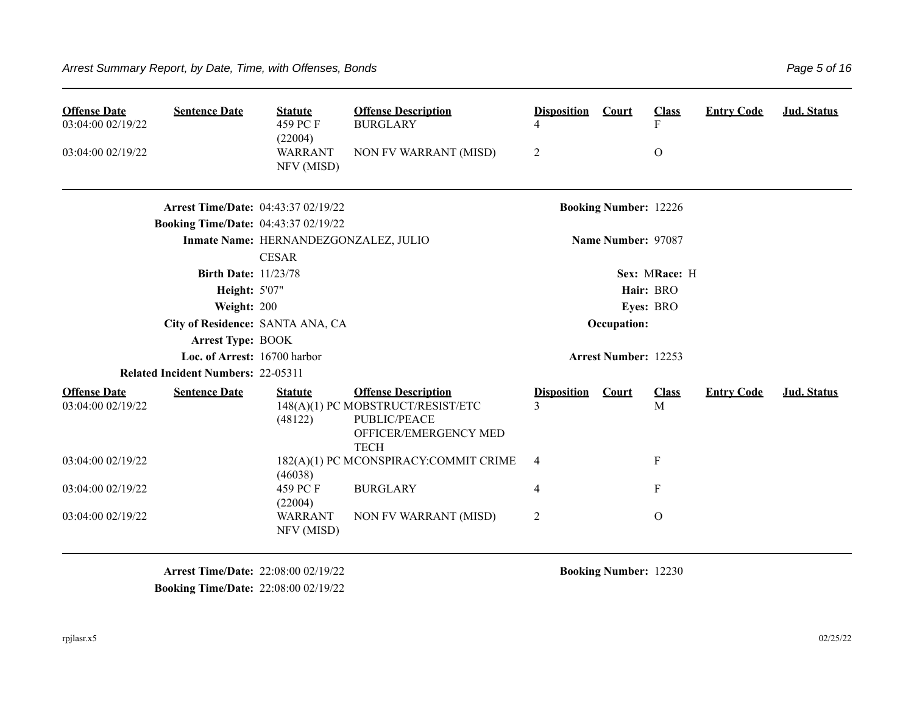| <b>Offense Date</b><br>03:04:00 02/19/22<br>03:04:00 02/19/22 | <b>Sentence Date</b>                        | <b>Statute</b><br>459 PC F<br>(22004)<br><b>WARRANT</b><br>NFV (MISD) | <b>Offense Description</b><br><b>BURGLARY</b><br>NON FV WARRANT (MISD)                                                  | <b>Disposition</b><br>4<br>$\overline{2}$ | Court                        | <b>Class</b><br>F<br>$\Omega$ | <b>Entry Code</b> | <b>Jud. Status</b> |
|---------------------------------------------------------------|---------------------------------------------|-----------------------------------------------------------------------|-------------------------------------------------------------------------------------------------------------------------|-------------------------------------------|------------------------------|-------------------------------|-------------------|--------------------|
|                                                               | <b>Arrest Time/Date: 04:43:37 02/19/22</b>  |                                                                       |                                                                                                                         |                                           | <b>Booking Number: 12226</b> |                               |                   |                    |
|                                                               | <b>Booking Time/Date: 04:43:37 02/19/22</b> |                                                                       |                                                                                                                         |                                           |                              |                               |                   |                    |
|                                                               |                                             | Inmate Name: HERNANDEZGONZALEZ, JULIO                                 |                                                                                                                         |                                           | Name Number: 97087           |                               |                   |                    |
|                                                               |                                             | <b>CESAR</b>                                                          |                                                                                                                         |                                           |                              |                               |                   |                    |
|                                                               | <b>Birth Date: 11/23/78</b>                 |                                                                       |                                                                                                                         |                                           |                              | Sex: MRace: H                 |                   |                    |
|                                                               | <b>Height: 5'07"</b>                        |                                                                       |                                                                                                                         |                                           |                              | Hair: BRO                     |                   |                    |
|                                                               | Weight: 200                                 |                                                                       |                                                                                                                         |                                           |                              | Eyes: BRO                     |                   |                    |
|                                                               | City of Residence: SANTA ANA, CA            |                                                                       |                                                                                                                         |                                           | Occupation:                  |                               |                   |                    |
|                                                               | <b>Arrest Type: BOOK</b>                    |                                                                       |                                                                                                                         |                                           |                              |                               |                   |                    |
|                                                               | Loc. of Arrest: 16700 harbor                |                                                                       |                                                                                                                         |                                           | <b>Arrest Number: 12253</b>  |                               |                   |                    |
|                                                               | <b>Related Incident Numbers: 22-05311</b>   |                                                                       |                                                                                                                         |                                           |                              |                               |                   |                    |
| <b>Offense Date</b><br>03:04:00 02/19/22                      | <b>Sentence Date</b>                        | <b>Statute</b><br>(48122)                                             | <b>Offense Description</b><br>148(A)(1) PC MOBSTRUCT/RESIST/ETC<br>PUBLIC/PEACE<br>OFFICER/EMERGENCY MED<br><b>TECH</b> | <b>Disposition</b><br>3                   | <b>Court</b>                 | <b>Class</b><br>M             | <b>Entry Code</b> | Jud. Status        |
| 03:04:00 02/19/22                                             |                                             | (46038)                                                               | 182(A)(1) PC MCONSPIRACY:COMMIT CRIME                                                                                   | $\overline{4}$                            |                              | $\mathbf{F}$                  |                   |                    |
| 03:04:00 02/19/22                                             |                                             | 459 PC F<br>(22004)                                                   | <b>BURGLARY</b>                                                                                                         | 4                                         |                              | $\mathbf{F}$                  |                   |                    |
| 03:04:00 02/19/22                                             |                                             | <b>WARRANT</b><br>NFV (MISD)                                          | NON FV WARRANT (MISD)                                                                                                   | $\overline{2}$                            |                              | $\mathbf{O}$                  |                   |                    |

**Arrest Time/Date:** 22:08:00 02/19/22 **Booking Number:** 12230 **Booking Time/Date:** 22:08:00 02/19/22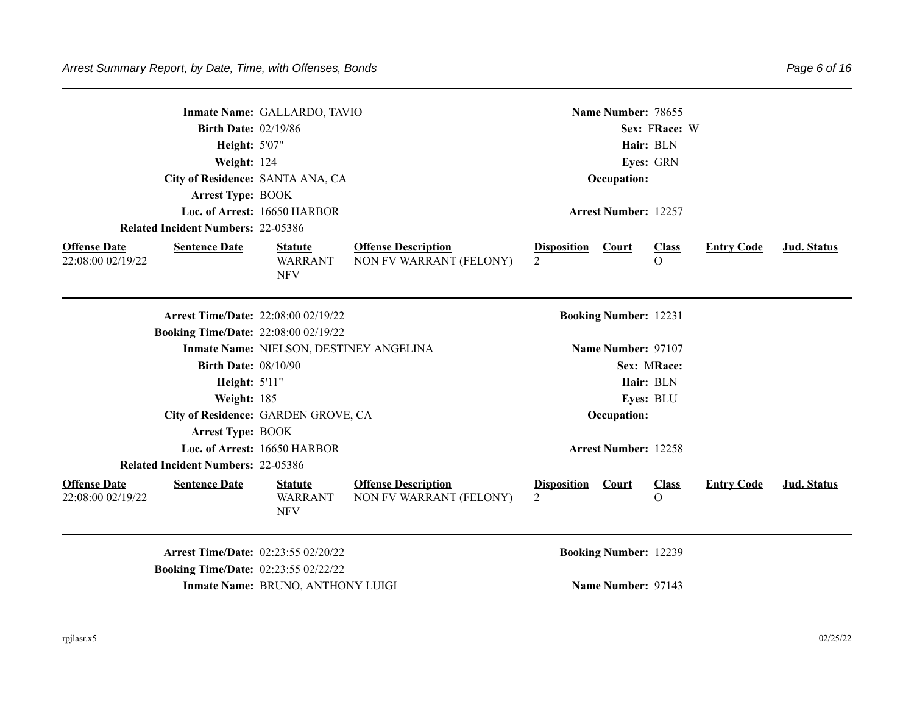|                                          |                                                                                           | Inmate Name: GALLARDO, TAVIO                   |                                                       |                                            | Name Number: 78655           |                          |                   |             |
|------------------------------------------|-------------------------------------------------------------------------------------------|------------------------------------------------|-------------------------------------------------------|--------------------------------------------|------------------------------|--------------------------|-------------------|-------------|
|                                          | <b>Birth Date: 02/19/86</b>                                                               |                                                |                                                       |                                            |                              | Sex: FRace: W            |                   |             |
|                                          | Height: 5'07"                                                                             |                                                |                                                       |                                            |                              | Hair: BLN                |                   |             |
|                                          | Weight: 124                                                                               |                                                |                                                       |                                            |                              | Eyes: GRN                |                   |             |
|                                          | City of Residence: SANTA ANA, CA                                                          |                                                |                                                       |                                            | Occupation:                  |                          |                   |             |
|                                          | Arrest Type: BOOK                                                                         |                                                |                                                       |                                            |                              |                          |                   |             |
|                                          |                                                                                           | Loc. of Arrest: 16650 HARBOR                   |                                                       |                                            | <b>Arrest Number: 12257</b>  |                          |                   |             |
|                                          | <b>Related Incident Numbers: 22-05386</b>                                                 |                                                |                                                       |                                            |                              |                          |                   |             |
| <b>Offense Date</b><br>22:08:00 02/19/22 | <b>Sentence Date</b>                                                                      | <b>Statute</b><br><b>WARRANT</b><br><b>NFV</b> | <b>Offense Description</b><br>NON FV WARRANT (FELONY) | <b>Disposition Court</b><br>$\overline{2}$ |                              | <b>Class</b><br>$\Omega$ | <b>Entry Code</b> | Jud. Status |
|                                          | <b>Arrest Time/Date: 22:08:00 02/19/22</b>                                                |                                                |                                                       |                                            | <b>Booking Number: 12231</b> |                          |                   |             |
|                                          | <b>Booking Time/Date: 22:08:00 02/19/22</b>                                               |                                                |                                                       |                                            |                              |                          |                   |             |
|                                          |                                                                                           | Inmate Name: NIELSON, DESTINEY ANGELINA        |                                                       |                                            | Name Number: 97107           |                          |                   |             |
|                                          | <b>Birth Date: 08/10/90</b>                                                               |                                                |                                                       |                                            |                              | Sex: MRace:              |                   |             |
|                                          | Height: 5'11"                                                                             |                                                |                                                       |                                            |                              | Hair: BLN                |                   |             |
|                                          | Weight: 185                                                                               |                                                |                                                       |                                            |                              | Eyes: BLU                |                   |             |
|                                          |                                                                                           | City of Residence: GARDEN GROVE, CA            |                                                       |                                            | Occupation:                  |                          |                   |             |
|                                          | <b>Arrest Type: BOOK</b>                                                                  |                                                |                                                       |                                            |                              |                          |                   |             |
|                                          |                                                                                           | Loc. of Arrest: 16650 HARBOR                   |                                                       |                                            | <b>Arrest Number: 12258</b>  |                          |                   |             |
|                                          | <b>Related Incident Numbers: 22-05386</b>                                                 |                                                |                                                       |                                            |                              |                          |                   |             |
| <b>Offense Date</b><br>22:08:00 02/19/22 | <b>Sentence Date</b>                                                                      | <b>Statute</b><br><b>WARRANT</b><br><b>NFV</b> | <b>Offense Description</b><br>NON FV WARRANT (FELONY) | <b>Disposition</b><br>$\mathfrak{D}$       | Court                        | <b>Class</b><br>$\Omega$ | <b>Entry Code</b> | Jud. Status |
|                                          | <b>Arrest Time/Date: 02:23:55 02/20/22</b><br><b>Booking Time/Date: 02:23:55 02/22/22</b> |                                                |                                                       |                                            | <b>Booking Number: 12239</b> |                          |                   |             |

**Inmate Name:** BRUNO, ANTHONY LUIGI **Name Number:** 97143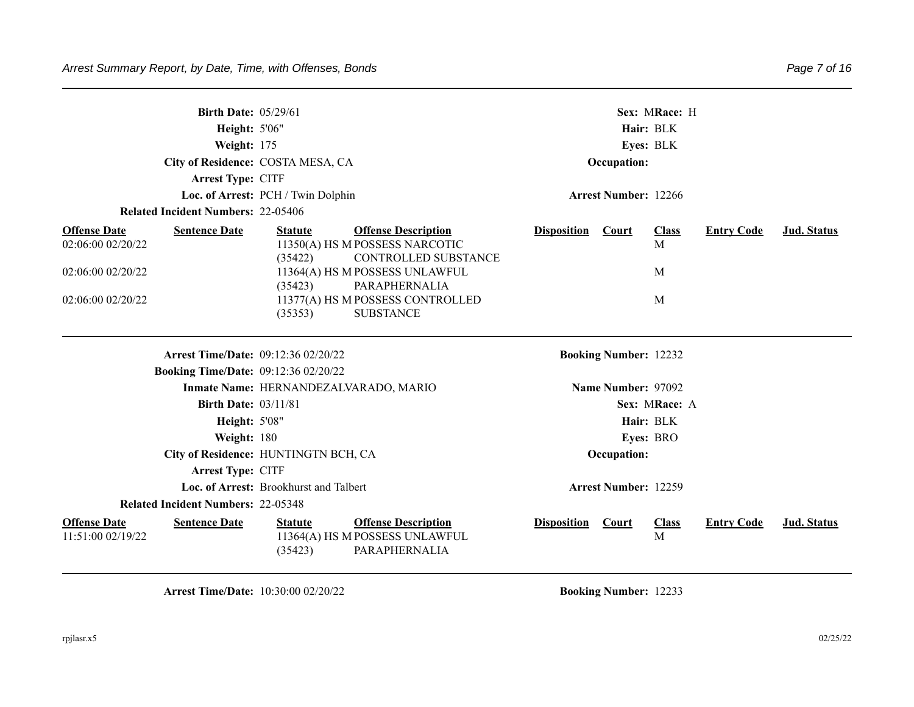| <b>Birth Date: 05/29/61</b><br>Height: 5'06"<br>Weight: 175      | City of Residence: COSTA MESA, CA                                                                          | Sex: MRace: H<br>Hair: BLK<br>Eyes: BLK<br>Occupation:                           |             |  |  |  |  |
|------------------------------------------------------------------|------------------------------------------------------------------------------------------------------------|----------------------------------------------------------------------------------|-------------|--|--|--|--|
| Arrest Type: CITF                                                |                                                                                                            |                                                                                  |             |  |  |  |  |
| <b>Related Incident Numbers: 22-05406</b>                        | Loc. of Arrest: PCH / Twin Dolphin                                                                         | <b>Arrest Number: 12266</b>                                                      |             |  |  |  |  |
|                                                                  |                                                                                                            |                                                                                  |             |  |  |  |  |
| <b>Offense Date</b><br><b>Sentence Date</b><br>02:06:00 02/20/22 | <b>Offense Description</b><br><b>Statute</b><br>11350(A) HS M POSSESS NARCOTIC                             | <b>Disposition</b><br>Court<br><b>Class</b><br><b>Entry Code</b><br>$\mathbf{M}$ | Jud. Status |  |  |  |  |
|                                                                  | (35422)<br>CONTROLLED SUBSTANCE                                                                            |                                                                                  |             |  |  |  |  |
| 02:06:00 02/20/22                                                | 11364(A) HS M POSSESS UNLAWFUL                                                                             | M                                                                                |             |  |  |  |  |
| 02:06:00 02/20/22                                                | (35423)<br>PARAPHERNALIA<br>11377(A) HS M POSSESS CONTROLLED                                               | M                                                                                |             |  |  |  |  |
|                                                                  | <b>SUBSTANCE</b><br>(35353)                                                                                |                                                                                  |             |  |  |  |  |
|                                                                  |                                                                                                            |                                                                                  |             |  |  |  |  |
| <b>Arrest Time/Date: 09:12:36 02/20/22</b>                       |                                                                                                            | <b>Booking Number: 12232</b>                                                     |             |  |  |  |  |
| <b>Booking Time/Date: 09:12:36 02/20/22</b>                      |                                                                                                            |                                                                                  |             |  |  |  |  |
|                                                                  | Inmate Name: HERNANDEZALVARADO, MARIO                                                                      | Name Number: 97092                                                               |             |  |  |  |  |
| <b>Birth Date: 03/11/81</b>                                      |                                                                                                            | Sex: MRace: A                                                                    |             |  |  |  |  |
| Height: 5'08"                                                    |                                                                                                            | Hair: BLK                                                                        |             |  |  |  |  |
| Weight: 180                                                      |                                                                                                            | Eyes: BRO                                                                        |             |  |  |  |  |
|                                                                  | City of Residence: HUNTINGTN BCH, CA                                                                       | Occupation:                                                                      |             |  |  |  |  |
| Arrest Type: CITF                                                |                                                                                                            |                                                                                  |             |  |  |  |  |
|                                                                  | Loc. of Arrest: Brookhurst and Talbert                                                                     | Arrest Number: 12259                                                             |             |  |  |  |  |
| <b>Related Incident Numbers: 22-05348</b>                        |                                                                                                            |                                                                                  |             |  |  |  |  |
| <b>Offense Date</b><br><b>Sentence Date</b><br>11:51:00 02/19/22 | <b>Offense Description</b><br><b>Statute</b><br>11364(A) HS M POSSESS UNLAWFUL<br>(35423)<br>PARAPHERNALIA | <b>Disposition</b> Court<br><b>Class</b><br><b>Entry Code</b><br>M               | Jud. Status |  |  |  |  |

**Arrest Time/Date:** 10:30:00 02/20/22 **Booking Number:** 12233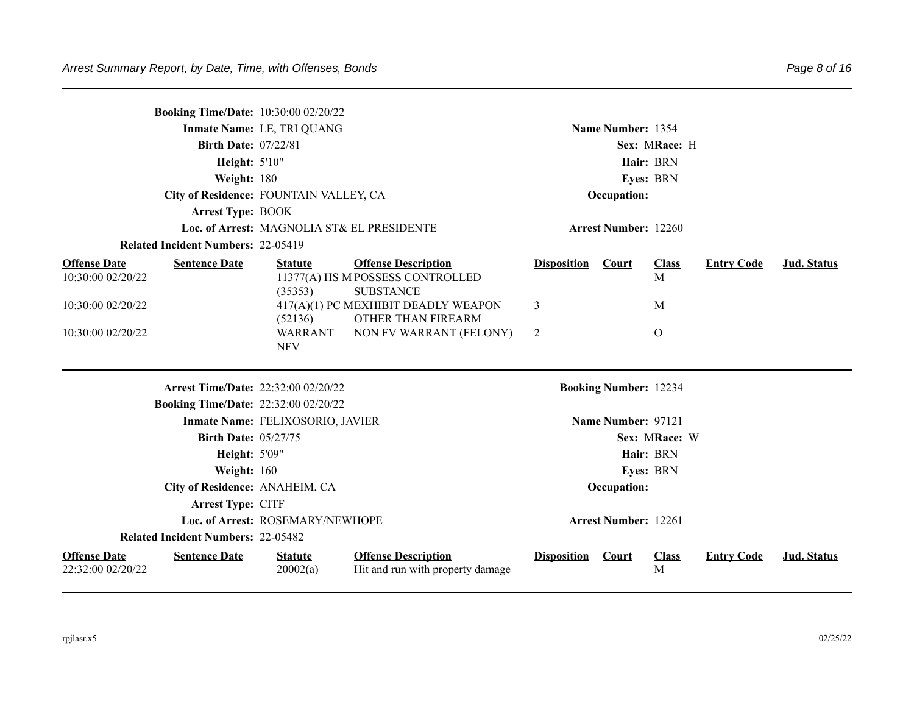|                                          | <b>Booking Time/Date: 10:30:00 02/20/22</b> |                                            |                                                                                    |                    |                              |                   |                   |             |
|------------------------------------------|---------------------------------------------|--------------------------------------------|------------------------------------------------------------------------------------|--------------------|------------------------------|-------------------|-------------------|-------------|
|                                          |                                             | Inmate Name: LE, TRI QUANG                 |                                                                                    |                    | Name Number: 1354            |                   |                   |             |
|                                          | <b>Birth Date: 07/22/81</b>                 |                                            |                                                                                    |                    |                              |                   |                   |             |
|                                          | <b>Height: 5'10"</b>                        |                                            |                                                                                    |                    | Hair: BRN                    |                   |                   |             |
|                                          | Weight: 180                                 |                                            |                                                                                    |                    |                              | Eyes: BRN         |                   |             |
|                                          | City of Residence: FOUNTAIN VALLEY, CA      |                                            |                                                                                    |                    | Occupation:                  |                   |                   |             |
|                                          | <b>Arrest Type: BOOK</b>                    |                                            |                                                                                    |                    |                              |                   |                   |             |
|                                          |                                             | Loc. of Arrest: MAGNOLIA ST& EL PRESIDENTE |                                                                                    |                    | <b>Arrest Number: 12260</b>  |                   |                   |             |
|                                          | <b>Related Incident Numbers: 22-05419</b>   |                                            |                                                                                    |                    |                              |                   |                   |             |
| <b>Offense Date</b><br>10:30:00 02/20/22 | <b>Sentence Date</b>                        | <b>Statute</b><br>(35353)                  | <b>Offense Description</b><br>11377(A) HS M POSSESS CONTROLLED<br><b>SUBSTANCE</b> | <b>Disposition</b> | Court                        | <b>Class</b><br>M | <b>Entry Code</b> | Jud. Status |
| 10:30:00 02/20/22                        |                                             | (52136)                                    | 417(A)(1) PC MEXHIBIT DEADLY WEAPON<br>OTHER THAN FIREARM                          | 3                  |                              | M                 |                   |             |
| 10:30:00 02/20/22                        |                                             | <b>WARRANT</b><br><b>NFV</b>               | NON FV WARRANT (FELONY)                                                            | 2                  |                              | $\mathbf{O}$      |                   |             |
|                                          | <b>Arrest Time/Date: 22:32:00 02/20/22</b>  |                                            |                                                                                    |                    | <b>Booking Number: 12234</b> |                   |                   |             |
|                                          | <b>Booking Time/Date: 22:32:00 02/20/22</b> |                                            |                                                                                    |                    |                              |                   |                   |             |
|                                          |                                             | Inmate Name: FELIXOSORIO, JAVIER           |                                                                                    |                    | Name Number: 97121           |                   |                   |             |
|                                          | <b>Birth Date: 05/27/75</b>                 |                                            |                                                                                    |                    |                              | Sex: MRace: W     |                   |             |
|                                          | Height: 5'09"                               |                                            |                                                                                    |                    |                              | Hair: BRN         |                   |             |
|                                          | Weight: 160                                 |                                            |                                                                                    |                    |                              | Eyes: BRN         |                   |             |
|                                          | City of Residence: ANAHEIM, CA              |                                            |                                                                                    |                    | Occupation:                  |                   |                   |             |
|                                          | Arrest Type: CITF                           |                                            |                                                                                    |                    |                              |                   |                   |             |
|                                          |                                             | Loc. of Arrest: ROSEMARY/NEWHOPE           |                                                                                    |                    | <b>Arrest Number: 12261</b>  |                   |                   |             |
|                                          | <b>Related Incident Numbers: 22-05482</b>   |                                            |                                                                                    |                    |                              |                   |                   |             |
| <b>Offense Date</b><br>22:32:00 02/20/22 | <b>Sentence Date</b>                        | <b>Statute</b><br>20002(a)                 | <b>Offense Description</b><br>Hit and run with property damage                     | <b>Disposition</b> | <b>Court</b>                 | <b>Class</b><br>M | <b>Entry Code</b> | Jud. Status |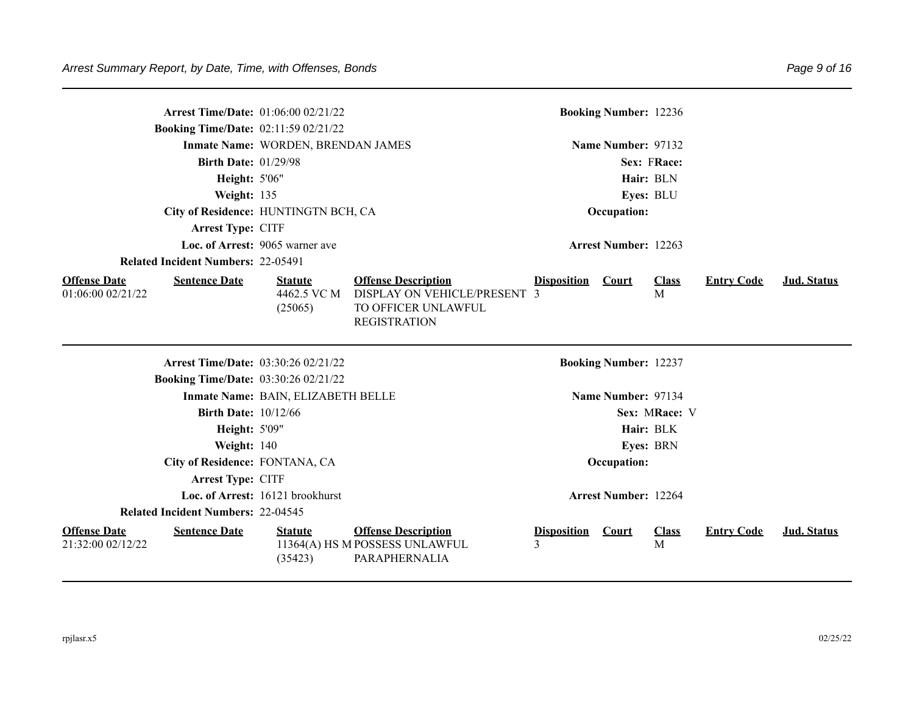|                                          | <b>Arrest Time/Date: 01:06:00 02/21/22</b><br><b>Booking Time/Date: 02:11:59 02/21/22</b> |                                          |                                                                                                          |                    | <b>Booking Number: 12236</b> |                   |                   |                    |
|------------------------------------------|-------------------------------------------------------------------------------------------|------------------------------------------|----------------------------------------------------------------------------------------------------------|--------------------|------------------------------|-------------------|-------------------|--------------------|
|                                          |                                                                                           | Inmate Name: WORDEN, BRENDAN JAMES       |                                                                                                          |                    | Name Number: 97132           |                   |                   |                    |
|                                          | <b>Birth Date: 01/29/98</b>                                                               |                                          |                                                                                                          |                    |                              | Sex: FRace:       |                   |                    |
|                                          | Height: 5'06"                                                                             |                                          |                                                                                                          |                    |                              | Hair: BLN         |                   |                    |
|                                          | Weight: 135                                                                               |                                          |                                                                                                          |                    |                              | Eyes: BLU         |                   |                    |
|                                          | City of Residence: HUNTINGTN BCH, CA                                                      |                                          |                                                                                                          |                    | Occupation:                  |                   |                   |                    |
|                                          | Arrest Type: CITF                                                                         |                                          |                                                                                                          |                    |                              |                   |                   |                    |
|                                          |                                                                                           | Loc. of Arrest: 9065 warner ave          |                                                                                                          |                    | <b>Arrest Number: 12263</b>  |                   |                   |                    |
|                                          | <b>Related Incident Numbers: 22-05491</b>                                                 |                                          |                                                                                                          |                    |                              |                   |                   |                    |
| <b>Offense Date</b><br>01:06:00 02/21/22 | <b>Sentence Date</b>                                                                      | <b>Statute</b><br>4462.5 VC M<br>(25065) | <b>Offense Description</b><br>DISPLAY ON VEHICLE/PRESENT 3<br>TO OFFICER UNLAWFUL<br><b>REGISTRATION</b> | <b>Disposition</b> | <b>Court</b>                 | <b>Class</b><br>M | <b>Entry Code</b> | Jud. Status        |
|                                          | <b>Arrest Time/Date: 03:30:26 02/21/22</b>                                                |                                          |                                                                                                          |                    | <b>Booking Number: 12237</b> |                   |                   |                    |
|                                          | <b>Booking Time/Date: 03:30:26 02/21/22</b>                                               |                                          |                                                                                                          |                    |                              |                   |                   |                    |
|                                          |                                                                                           | Inmate Name: BAIN, ELIZABETH BELLE       |                                                                                                          |                    | Name Number: 97134           |                   |                   |                    |
|                                          | <b>Birth Date: 10/12/66</b>                                                               |                                          |                                                                                                          |                    |                              | Sex: MRace: V     |                   |                    |
|                                          | Height: 5'09"                                                                             |                                          |                                                                                                          |                    |                              | Hair: BLK         |                   |                    |
|                                          | Weight: 140                                                                               |                                          |                                                                                                          |                    |                              | <b>Eyes: BRN</b>  |                   |                    |
|                                          | City of Residence: FONTANA, CA                                                            |                                          |                                                                                                          |                    | Occupation:                  |                   |                   |                    |
|                                          | Arrest Type: CITF                                                                         |                                          |                                                                                                          |                    |                              |                   |                   |                    |
|                                          |                                                                                           | Loc. of Arrest: 16121 brookhurst         |                                                                                                          |                    | <b>Arrest Number: 12264</b>  |                   |                   |                    |
|                                          | <b>Related Incident Numbers: 22-04545</b>                                                 |                                          |                                                                                                          |                    |                              |                   |                   |                    |
| <b>Offense Date</b>                      | <b>Sentence Date</b>                                                                      | <b>Statute</b>                           | <b>Offense Description</b>                                                                               | <b>Disposition</b> | Court                        | <b>Class</b>      | <b>Entry Code</b> | <b>Jud. Status</b> |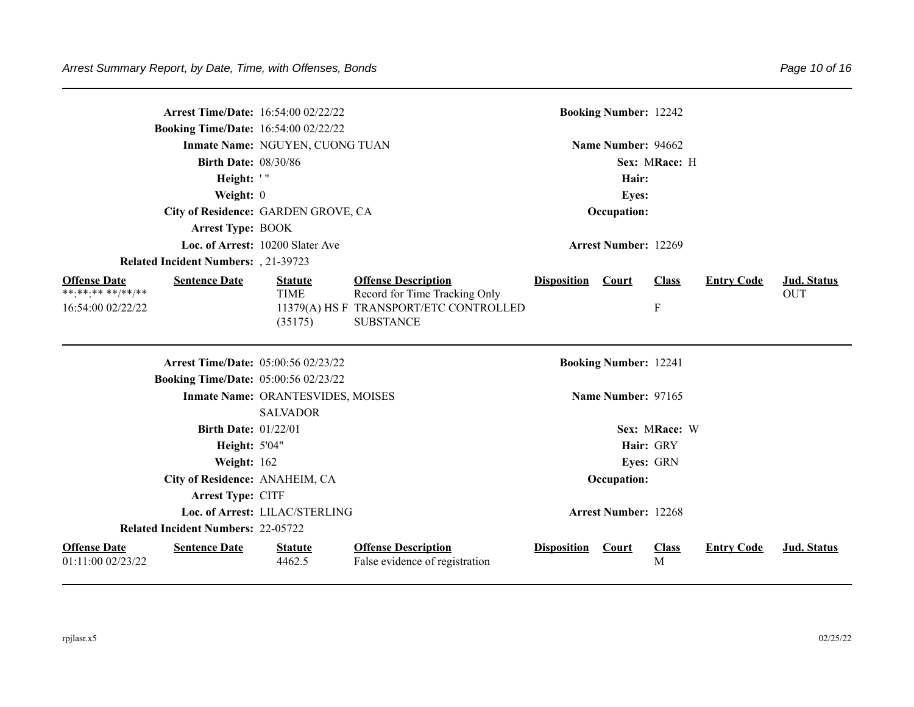| <b>Arrest Time/Date: 16:54:00 02/22/22</b><br><b>Booking Time/Date: 16:54:00 02/22/22</b> |                                   |                                                                                             |                    | <b>Booking Number: 12242</b> |                   |                   |             |
|-------------------------------------------------------------------------------------------|-----------------------------------|---------------------------------------------------------------------------------------------|--------------------|------------------------------|-------------------|-------------------|-------------|
|                                                                                           | Inmate Name: NGUYEN, CUONG TUAN   |                                                                                             |                    | Name Number: 94662           |                   |                   |             |
| <b>Birth Date: 08/30/86</b>                                                               |                                   |                                                                                             |                    |                              | Sex: MRace: H     |                   |             |
| Height: '"                                                                                |                                   |                                                                                             |                    | Hair:                        |                   |                   |             |
| Weight: 0                                                                                 |                                   |                                                                                             |                    | <b>Eyes:</b>                 |                   |                   |             |
| City of Residence: GARDEN GROVE, CA                                                       |                                   |                                                                                             |                    | Occupation:                  |                   |                   |             |
| <b>Arrest Type: BOOK</b>                                                                  |                                   |                                                                                             |                    |                              |                   |                   |             |
|                                                                                           | Loc. of Arrest: 10200 Slater Ave  |                                                                                             |                    | <b>Arrest Number: 12269</b>  |                   |                   |             |
| <b>Related Incident Numbers:</b> , 21-39723                                               |                                   |                                                                                             |                    |                              |                   |                   |             |
| <b>Offense Date</b><br><b>Sentence Date</b><br>**.**.** **/**/**                          | <b>Statute</b>                    | <b>Offense Description</b>                                                                  | <b>Disposition</b> | <b>Court</b>                 | <b>Class</b>      | <b>Entry Code</b> | Jud. Status |
| 16:54:00 02/22/22                                                                         | <b>TIME</b><br>(35175)            | Record for Time Tracking Only<br>11379(A) HS F TRANSPORT/ETC CONTROLLED<br><b>SUBSTANCE</b> |                    |                              | ${\bf F}$         |                   | <b>OUT</b>  |
| <b>Arrest Time/Date: 05:00:56 02/23/22</b>                                                |                                   |                                                                                             |                    | <b>Booking Number: 12241</b> |                   |                   |             |
| <b>Booking Time/Date: 05:00:56 02/23/22</b>                                               |                                   |                                                                                             |                    |                              |                   |                   |             |
|                                                                                           | Inmate Name: ORANTESVIDES, MOISES |                                                                                             |                    | Name Number: 97165           |                   |                   |             |
|                                                                                           | <b>SALVADOR</b>                   |                                                                                             |                    |                              |                   |                   |             |
| <b>Birth Date: 01/22/01</b>                                                               |                                   |                                                                                             |                    |                              | Sex: MRace: W     |                   |             |
| <b>Height: 5'04"</b>                                                                      |                                   |                                                                                             |                    |                              | Hair: GRY         |                   |             |
| Weight: 162                                                                               |                                   |                                                                                             |                    |                              | Eyes: GRN         |                   |             |
| City of Residence: ANAHEIM, CA                                                            |                                   |                                                                                             |                    | Occupation:                  |                   |                   |             |
| Arrest Type: CITF                                                                         |                                   |                                                                                             |                    |                              |                   |                   |             |
|                                                                                           | Loc. of Arrest: LILAC/STERLING    |                                                                                             |                    | <b>Arrest Number: 12268</b>  |                   |                   |             |
| <b>Related Incident Numbers: 22-05722</b>                                                 |                                   |                                                                                             |                    |                              |                   |                   |             |
| <b>Offense Date</b><br><b>Sentence Date</b><br>01:11:00 02/23/22                          | <b>Statute</b><br>4462.5          | <b>Offense Description</b><br>False evidence of registration                                | <b>Disposition</b> | Court                        | <b>Class</b><br>M | <b>Entry Code</b> | Jud. Status |

Page 10 of 16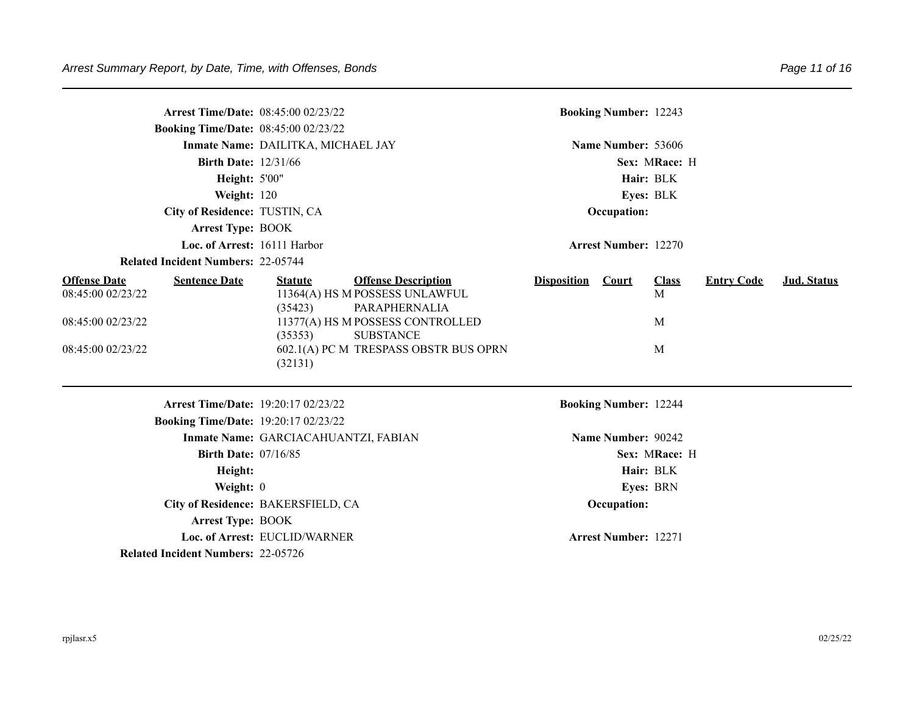|                                                                                    |                             | <b>Arrest Time/Date: 08:45:00 02/23/22</b>      |                                                                                                                                                                                |                          | <b>Booking Number: 12243</b> |                             |                   |             |
|------------------------------------------------------------------------------------|-----------------------------|-------------------------------------------------|--------------------------------------------------------------------------------------------------------------------------------------------------------------------------------|--------------------------|------------------------------|-----------------------------|-------------------|-------------|
|                                                                                    |                             | <b>Booking Time/Date: 08:45:00 02/23/22</b>     |                                                                                                                                                                                |                          |                              |                             |                   |             |
|                                                                                    |                             | Inmate Name: DAILITKA, MICHAEL JAY              |                                                                                                                                                                                |                          | Name Number: 53606           |                             |                   |             |
|                                                                                    | <b>Birth Date: 12/31/66</b> |                                                 |                                                                                                                                                                                |                          |                              | Sex: MRace: H               |                   |             |
|                                                                                    | <b>Height: 5'00"</b>        |                                                 |                                                                                                                                                                                |                          | Hair: BLK                    |                             |                   |             |
|                                                                                    | Weight: 120                 |                                                 |                                                                                                                                                                                |                          | Eyes: BLK                    |                             |                   |             |
|                                                                                    |                             | City of Residence: TUSTIN, CA                   |                                                                                                                                                                                |                          | Occupation:                  |                             |                   |             |
|                                                                                    | <b>Arrest Type: BOOK</b>    |                                                 |                                                                                                                                                                                |                          |                              |                             |                   |             |
|                                                                                    |                             | Loc. of Arrest: 16111 Harbor                    |                                                                                                                                                                                |                          | <b>Arrest Number: 12270</b>  |                             |                   |             |
| <b>Related Incident Numbers: 22-05744</b>                                          |                             |                                                 |                                                                                                                                                                                |                          |                              |                             |                   |             |
| <b>Offense Date</b><br>08:45:00 02/23/22<br>08:45:00 02/23/22<br>08:45:00 02/23/22 | <b>Sentence Date</b>        | <b>Statute</b><br>(35423)<br>(35353)<br>(32131) | <b>Offense Description</b><br>11364(A) HS M POSSESS UNLAWFUL<br>PARAPHERNALIA<br>11377(A) HS M POSSESS CONTROLLED<br><b>SUBSTANCE</b><br>602.1(A) PC M TRESPASS OBSTR BUS OPRN | <b>Disposition</b> Court |                              | <b>Class</b><br>M<br>M<br>M | <b>Entry Code</b> | Jud. Status |
|                                                                                    |                             | <b>Arrest Time/Date: 19:20:17 02/23/22</b>      |                                                                                                                                                                                |                          | <b>Booking Number: 12244</b> |                             |                   |             |
|                                                                                    |                             | <b>Booking Time/Date: 19:20:17 02/23/22</b>     |                                                                                                                                                                                |                          |                              |                             |                   |             |
|                                                                                    |                             | Inmate Name: GARCIACAHUANTZI, FABIAN            |                                                                                                                                                                                |                          | Name Number: 90242           |                             |                   |             |
|                                                                                    | <b>Birth Date: 07/16/85</b> |                                                 |                                                                                                                                                                                |                          |                              | Sex: MRace: H               |                   |             |
|                                                                                    | Height:                     |                                                 |                                                                                                                                                                                |                          | Hair: BLK                    |                             |                   |             |
|                                                                                    | Weight: 0                   |                                                 |                                                                                                                                                                                |                          |                              | <b>Eyes: BRN</b>            |                   |             |
|                                                                                    |                             | City of Residence: BAKERSFIELD, CA              |                                                                                                                                                                                |                          | Occupation:                  |                             |                   |             |
|                                                                                    | <b>Arrest Type: BOOK</b>    |                                                 |                                                                                                                                                                                |                          |                              |                             |                   |             |
|                                                                                    |                             | Loc. of Arrest: EUCLID/WARNER                   |                                                                                                                                                                                |                          | <b>Arrest Number: 12271</b>  |                             |                   |             |
| <b>Related Incident Numbers: 22-05726</b>                                          |                             |                                                 |                                                                                                                                                                                |                          |                              |                             |                   |             |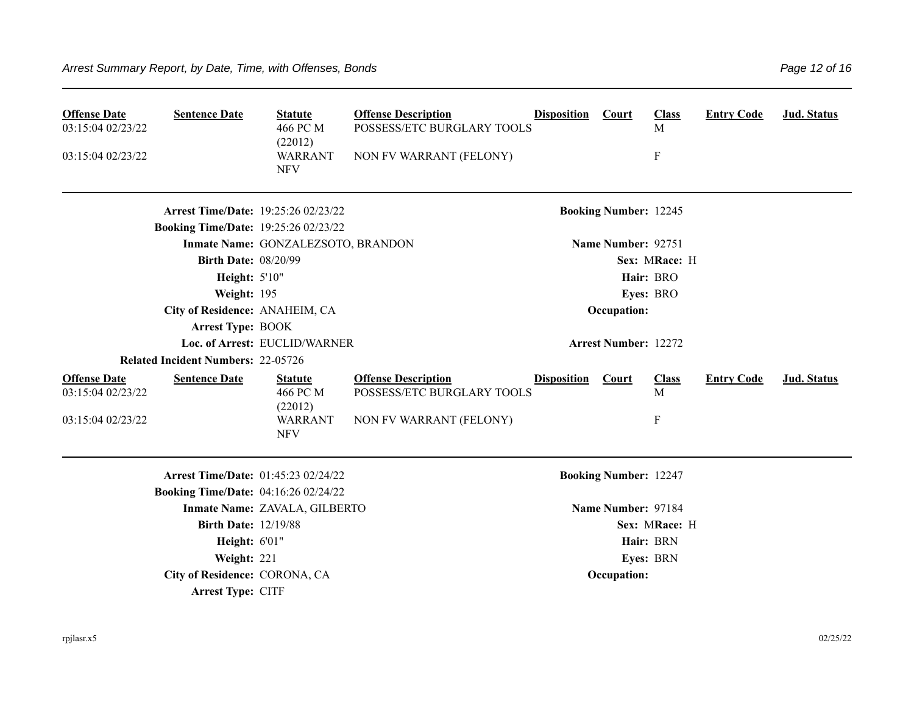| <b>Offense Date</b><br>03:15:04 02/23/22<br>03:15:04 02/23/22 | <b>Sentence Date</b>                                                               | <b>Statute</b><br>466 PC M<br>(22012)<br><b>WARRANT</b><br><b>NFV</b> | <b>Offense Description</b><br>POSSESS/ETC BURGLARY TOOLS<br>NON FV WARRANT (FELONY) | <b>Disposition</b> | Court                        | <b>Class</b><br>M<br>$\mathbf F$ | <b>Entry Code</b> | Jud. Status        |
|---------------------------------------------------------------|------------------------------------------------------------------------------------|-----------------------------------------------------------------------|-------------------------------------------------------------------------------------|--------------------|------------------------------|----------------------------------|-------------------|--------------------|
|                                                               | Arrest Time/Date: 19:25:26 02/23/22<br><b>Booking Time/Date: 19:25:26 02/23/22</b> |                                                                       |                                                                                     |                    | <b>Booking Number: 12245</b> |                                  |                   |                    |
|                                                               |                                                                                    | Inmate Name: GONZALEZSOTO, BRANDON                                    |                                                                                     |                    | Name Number: 92751           |                                  |                   |                    |
|                                                               | <b>Birth Date: 08/20/99</b>                                                        |                                                                       |                                                                                     |                    |                              | Sex: MRace: H                    |                   |                    |
|                                                               | <b>Height: 5'10"</b>                                                               |                                                                       |                                                                                     |                    |                              | Hair: BRO                        |                   |                    |
|                                                               | Weight: 195                                                                        |                                                                       |                                                                                     |                    |                              | Eyes: BRO                        |                   |                    |
|                                                               | City of Residence: ANAHEIM, CA                                                     |                                                                       |                                                                                     |                    | Occupation:                  |                                  |                   |                    |
|                                                               | <b>Arrest Type: BOOK</b>                                                           |                                                                       |                                                                                     |                    |                              |                                  |                   |                    |
|                                                               |                                                                                    | Loc. of Arrest: EUCLID/WARNER                                         |                                                                                     |                    | <b>Arrest Number: 12272</b>  |                                  |                   |                    |
|                                                               | <b>Related Incident Numbers: 22-05726</b>                                          |                                                                       |                                                                                     |                    |                              |                                  |                   |                    |
| <b>Offense Date</b><br>03:15:04 02/23/22                      | <b>Sentence Date</b>                                                               | <b>Statute</b><br>466 PC M<br>(22012)                                 | <b>Offense Description</b><br>POSSESS/ETC BURGLARY TOOLS                            | <b>Disposition</b> | Court                        | <b>Class</b><br>M                | <b>Entry Code</b> | <b>Jud. Status</b> |
| 03:15:04 02/23/22                                             |                                                                                    | <b>WARRANT</b><br><b>NFV</b>                                          | NON FV WARRANT (FELONY)                                                             |                    |                              | $\boldsymbol{\mathrm{F}}$        |                   |                    |
|                                                               | Arrest Time/Date: 01:45:23 02/24/22                                                |                                                                       |                                                                                     |                    | <b>Booking Number: 12247</b> |                                  |                   |                    |
|                                                               | <b>Booking Time/Date: 04:16:26 02/24/22</b>                                        |                                                                       |                                                                                     |                    |                              |                                  |                   |                    |
|                                                               |                                                                                    | Inmate Name: ZAVALA, GILBERTO                                         |                                                                                     |                    | Name Number: 97184           |                                  |                   |                    |
|                                                               | <b>Birth Date: 12/19/88</b>                                                        |                                                                       |                                                                                     |                    |                              | Sex: MRace: H                    |                   |                    |
|                                                               | Height: 6'01"                                                                      |                                                                       |                                                                                     |                    |                              | Hair: BRN                        |                   |                    |
|                                                               | Weight: 221                                                                        |                                                                       |                                                                                     |                    |                              | Eyes: BRN                        |                   |                    |
|                                                               | City of Residence: CORONA, CA                                                      |                                                                       |                                                                                     |                    | Occupation:                  |                                  |                   |                    |
|                                                               | Arrest Type: CITF                                                                  |                                                                       |                                                                                     |                    |                              |                                  |                   |                    |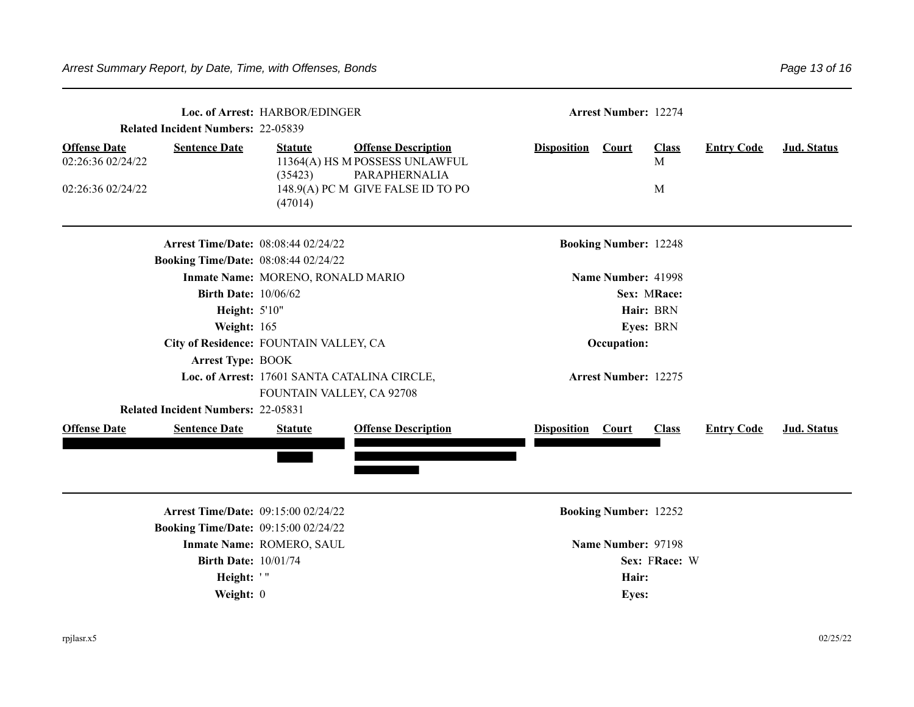| <b>Related Incident Numbers: 22-05839</b>                     | <b>Arrest Number: 12274</b>                                                               |                                      |                                                                                                                    |                             |                              |                        |                   |                    |  |  |  |
|---------------------------------------------------------------|-------------------------------------------------------------------------------------------|--------------------------------------|--------------------------------------------------------------------------------------------------------------------|-----------------------------|------------------------------|------------------------|-------------------|--------------------|--|--|--|
| <b>Offense Date</b><br>02:26:36 02/24/22<br>02:26:36 02/24/22 | <b>Sentence Date</b>                                                                      | <b>Statute</b><br>(35423)<br>(47014) | <b>Offense Description</b><br>11364(A) HS M POSSESS UNLAWFUL<br>PARAPHERNALIA<br>148.9(A) PC M GIVE FALSE ID TO PO | <b>Disposition</b>          | <b>Court</b>                 | <b>Class</b><br>M<br>M | <b>Entry Code</b> | Jud. Status        |  |  |  |
|                                                               | <b>Arrest Time/Date: 08:08:44 02/24/22</b><br><b>Booking Time/Date: 08:08:44 02/24/22</b> |                                      |                                                                                                                    |                             | <b>Booking Number: 12248</b> |                        |                   |                    |  |  |  |
| Inmate Name: MORENO, RONALD MARIO                             |                                                                                           |                                      |                                                                                                                    | Name Number: 41998          |                              |                        |                   |                    |  |  |  |
| <b>Birth Date: 10/06/62</b>                                   |                                                                                           |                                      |                                                                                                                    | Sex: MRace:                 |                              |                        |                   |                    |  |  |  |
| Height: 5'10"                                                 |                                                                                           |                                      |                                                                                                                    | Hair: BRN                   |                              |                        |                   |                    |  |  |  |
|                                                               | Weight: 165                                                                               |                                      |                                                                                                                    |                             | Eyes: BRN                    |                        |                   |                    |  |  |  |
|                                                               | City of Residence: FOUNTAIN VALLEY, CA                                                    |                                      |                                                                                                                    | Occupation:                 |                              |                        |                   |                    |  |  |  |
|                                                               | <b>Arrest Type: BOOK</b><br>Loc. of Arrest: 17601 SANTA CATALINA CIRCLE,                  |                                      |                                                                                                                    |                             |                              |                        |                   |                    |  |  |  |
|                                                               |                                                                                           |                                      |                                                                                                                    | <b>Arrest Number: 12275</b> |                              |                        |                   |                    |  |  |  |
|                                                               |                                                                                           | FOUNTAIN VALLEY, CA 92708            |                                                                                                                    |                             |                              |                        |                   |                    |  |  |  |
|                                                               | <b>Related Incident Numbers: 22-05831</b>                                                 |                                      |                                                                                                                    |                             |                              |                        |                   |                    |  |  |  |
| <b>Offense Date</b>                                           | <b>Sentence Date</b>                                                                      | <b>Statute</b>                       | <b>Offense Description</b>                                                                                         | <b>Disposition</b> Court    |                              | <b>Class</b>           | <b>Entry Code</b> | <b>Jud. Status</b> |  |  |  |
|                                                               |                                                                                           |                                      |                                                                                                                    |                             |                              |                        |                   |                    |  |  |  |
|                                                               | <b>Arrest Time/Date: 09:15:00 02/24/22</b>                                                |                                      |                                                                                                                    |                             | <b>Booking Number: 12252</b> |                        |                   |                    |  |  |  |
|                                                               | <b>Booking Time/Date: 09:15:00 02/24/22</b>                                               |                                      |                                                                                                                    |                             |                              |                        |                   |                    |  |  |  |
|                                                               |                                                                                           | Inmate Name: ROMERO, SAUL            |                                                                                                                    | Name Number: 97198          |                              |                        |                   |                    |  |  |  |
|                                                               | <b>Birth Date: 10/01/74</b>                                                               |                                      |                                                                                                                    | Sex: FRace: W               |                              |                        |                   |                    |  |  |  |
|                                                               | Height: '"                                                                                |                                      |                                                                                                                    | Hair:                       |                              |                        |                   |                    |  |  |  |
|                                                               | Weight: 0                                                                                 |                                      |                                                                                                                    | <b>Eyes:</b>                |                              |                        |                   |                    |  |  |  |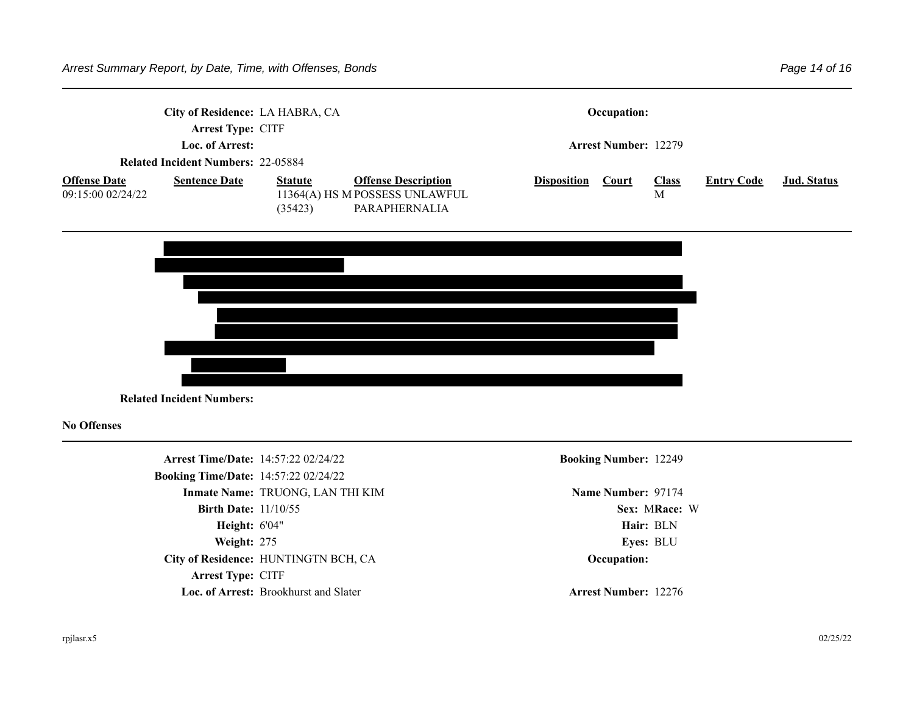| City of Residence: LA HABRA, CA                                                          |                      |                           | Occupation:                                                                   |                             |              |                   |                   |                    |  |
|------------------------------------------------------------------------------------------|----------------------|---------------------------|-------------------------------------------------------------------------------|-----------------------------|--------------|-------------------|-------------------|--------------------|--|
| <b>Arrest Type: CITF</b><br>Loc. of Arrest:<br><b>Related Incident Numbers: 22-05884</b> |                      |                           |                                                                               | <b>Arrest Number: 12279</b> |              |                   |                   |                    |  |
| <b>Offense Date</b><br>09:15:00 02/24/22                                                 | <b>Sentence Date</b> | <b>Statute</b><br>(35423) | <b>Offense Description</b><br>11364(A) HS M POSSESS UNLAWFUL<br>PARAPHERNALIA | <b>Disposition</b>          | <b>Court</b> | <b>Class</b><br>M | <b>Entry Code</b> | <u>Jud. Status</u> |  |



**Related Incident Numbers:** 

**No Offenses**

**Arrest Time/Date:** 14:57:22 02/24/22 **Booking Number:** 12249 **Booking Time/Date:** 14:57:22 02/24/22 **Inmate Name: TRUONG, LAN THI KIM <b>Name Number: 97174 Name Number: 97174 Birth Date:** 11/10/55 **Sex: MRace: W Height:**  $6'04''$  **Hair:** BLN **Weight:** 275 **Eyes: BLU City of Residence:** HUNTINGTN BCH, CA **Occupation: Arrest Type: CITF Loc. of Arrest: Brookhurst and Slater <b>Arrest Number: 12276**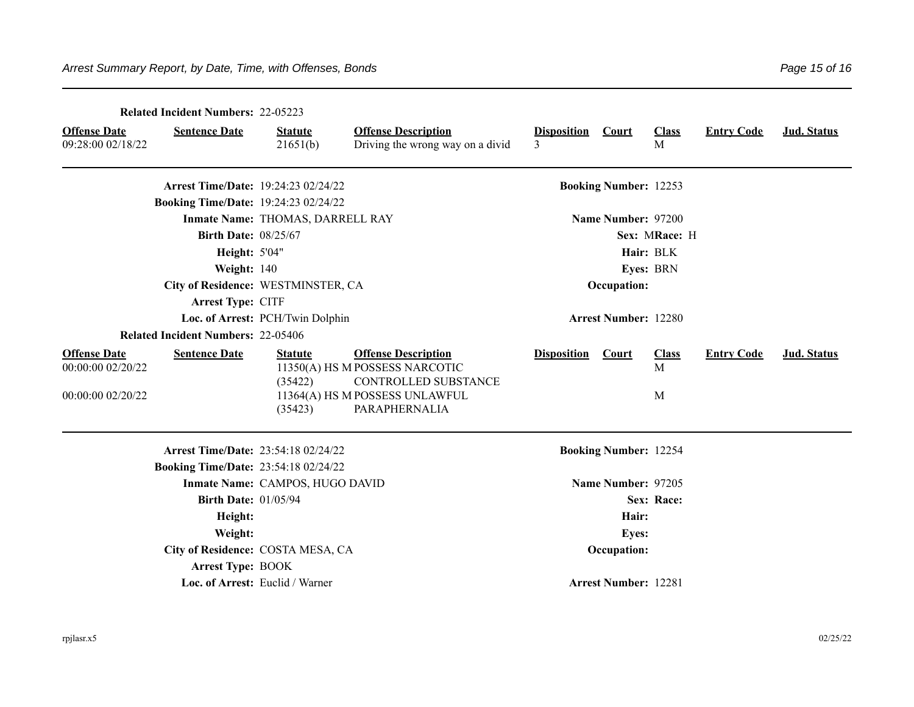|                                                               | <b>Related Incident Numbers: 22-05223</b>   |                                      |                                                                                                                                         |                             |                              |                        |                   |             |
|---------------------------------------------------------------|---------------------------------------------|--------------------------------------|-----------------------------------------------------------------------------------------------------------------------------------------|-----------------------------|------------------------------|------------------------|-------------------|-------------|
| <b>Offense Date</b><br>09:28:00 02/18/22                      | <b>Sentence Date</b>                        | <b>Statute</b><br>21651(b)           | <b>Offense Description</b><br>Driving the wrong way on a divid                                                                          | <b>Disposition</b><br>3     | <b>Court</b>                 | <b>Class</b><br>M      | <b>Entry Code</b> | Jud. Status |
|                                                               | Arrest Time/Date: 19:24:23 02/24/22         |                                      |                                                                                                                                         |                             | <b>Booking Number: 12253</b> |                        |                   |             |
|                                                               | <b>Booking Time/Date: 19:24:23 02/24/22</b> |                                      |                                                                                                                                         |                             |                              |                        |                   |             |
|                                                               |                                             | Inmate Name: THOMAS, DARRELL RAY     |                                                                                                                                         |                             | Name Number: 97200           |                        |                   |             |
|                                                               | <b>Birth Date: 08/25/67</b>                 |                                      | Sex: MRace: H                                                                                                                           |                             |                              |                        |                   |             |
|                                                               | <b>Height: 5'04"</b>                        |                                      |                                                                                                                                         |                             |                              |                        |                   |             |
|                                                               | Weight: 140                                 |                                      |                                                                                                                                         |                             |                              |                        |                   |             |
|                                                               | City of Residence: WESTMINSTER, CA          |                                      |                                                                                                                                         |                             | Occupation:                  |                        |                   |             |
|                                                               | Arrest Type: CITF                           |                                      |                                                                                                                                         |                             |                              |                        |                   |             |
| Loc. of Arrest: PCH/Twin Dolphin                              |                                             |                                      |                                                                                                                                         | <b>Arrest Number: 12280</b> |                              |                        |                   |             |
|                                                               | <b>Related Incident Numbers: 22-05406</b>   |                                      |                                                                                                                                         |                             |                              |                        |                   |             |
| <b>Offense Date</b><br>00:00:00 02/20/22<br>00:00:00 02/20/22 | <b>Sentence Date</b>                        | <b>Statute</b><br>(35422)<br>(35423) | <b>Offense Description</b><br>11350(A) HS M POSSESS NARCOTIC<br>CONTROLLED SUBSTANCE<br>11364(A) HS M POSSESS UNLAWFUL<br>PARAPHERNALIA | <b>Disposition</b>          | Court                        | <b>Class</b><br>M<br>M | <b>Entry Code</b> | Jud. Status |
|                                                               | <b>Arrest Time/Date: 23:54:18 02/24/22</b>  |                                      |                                                                                                                                         |                             | <b>Booking Number: 12254</b> |                        |                   |             |
| <b>Booking Time/Date: 23:54:18 02/24/22</b>                   |                                             |                                      |                                                                                                                                         |                             |                              |                        |                   |             |
|                                                               |                                             | Inmate Name: CAMPOS, HUGO DAVID      |                                                                                                                                         | Name Number: 97205          |                              |                        |                   |             |
| <b>Birth Date: 01/05/94</b>                                   |                                             |                                      |                                                                                                                                         |                             |                              |                        |                   |             |
| Height:                                                       |                                             |                                      |                                                                                                                                         |                             | Hair:                        |                        |                   |             |
| Weight:                                                       |                                             |                                      |                                                                                                                                         |                             | <b>Eyes:</b>                 |                        |                   |             |
|                                                               | City of Residence: COSTA MESA, CA           |                                      |                                                                                                                                         |                             | Occupation:                  |                        |                   |             |
|                                                               | <b>Arrest Type: BOOK</b>                    |                                      |                                                                                                                                         |                             |                              |                        |                   |             |
|                                                               |                                             | Loc. of Arrest: Euclid / Warner      |                                                                                                                                         |                             | <b>Arrest Number: 12281</b>  |                        |                   |             |